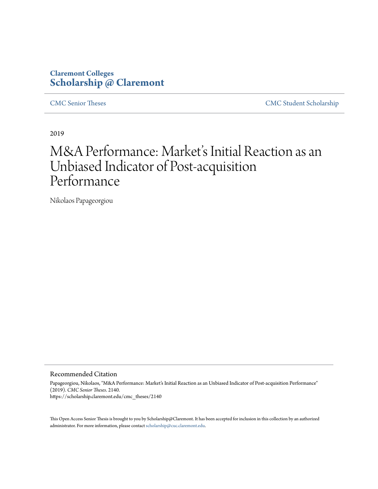### **Claremont Colleges [Scholarship @ Claremont](https://scholarship.claremont.edu)**

[CMC Senior Theses](https://scholarship.claremont.edu/cmc_theses) [CMC Student Scholarship](https://scholarship.claremont.edu/cmc_student)

2019

# M&A Performance: Market's Initial Reaction as an Unbiased Indicator of Post-acquisition Performance

Nikolaos Papageorgiou

#### Recommended Citation

Papageorgiou, Nikolaos, "M&A Performance: Market's Initial Reaction as an Unbiased Indicator of Post-acquisition Performance" (2019). *CMC Senior Theses*. 2140. https://scholarship.claremont.edu/cmc\_theses/2140

This Open Access Senior Thesis is brought to you by Scholarship@Claremont. It has been accepted for inclusion in this collection by an authorized administrator. For more information, please contact [scholarship@cuc.claremont.edu.](mailto:scholarship@cuc.claremont.edu)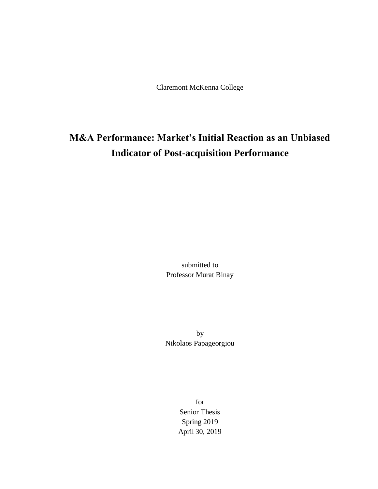Claremont McKenna College

## **M&A Performance: Market's Initial Reaction as an Unbiased Indicator of Post-acquisition Performance**

submitted to Professor Murat Binay

by Nikolaos Papageorgiou

> for Senior Thesis Spring 2019 April 30, 2019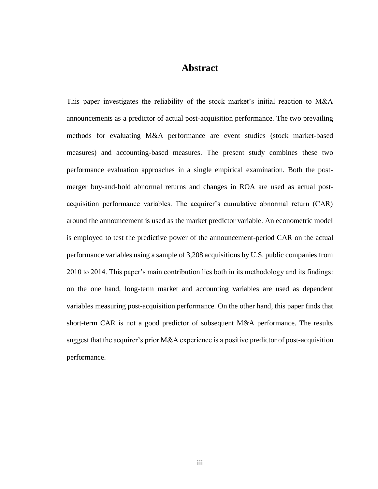### **Abstract**

This paper investigates the reliability of the stock market's initial reaction to M&A announcements as a predictor of actual post-acquisition performance. The two prevailing methods for evaluating M&A performance are event studies (stock market-based measures) and accounting-based measures. The present study combines these two performance evaluation approaches in a single empirical examination. Both the postmerger buy-and-hold abnormal returns and changes in ROA are used as actual postacquisition performance variables. The acquirer's cumulative abnormal return (CAR) around the announcement is used as the market predictor variable. An econometric model is employed to test the predictive power of the announcement-period CAR on the actual performance variables using a sample of 3,208 acquisitions by U.S. public companies from 2010 to 2014. This paper's main contribution lies both in its methodology and its findings: on the one hand, long-term market and accounting variables are used as dependent variables measuring post-acquisition performance. On the other hand, this paper finds that short-term CAR is not a good predictor of subsequent M&A performance. The results suggest that the acquirer's prior M&A experience is a positive predictor of post-acquisition performance.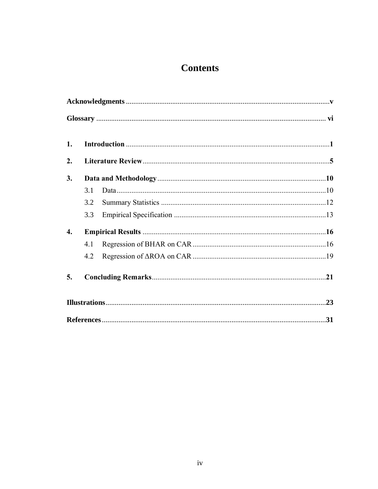## **Contents**

| 1.               |     |  |  |
|------------------|-----|--|--|
| 2.               |     |  |  |
| 3.               |     |  |  |
|                  | 3.1 |  |  |
|                  | 3.2 |  |  |
|                  | 3.3 |  |  |
| $\overline{4}$ . |     |  |  |
|                  | 4.1 |  |  |
|                  | 4.2 |  |  |
| 5.               |     |  |  |
|                  |     |  |  |
|                  |     |  |  |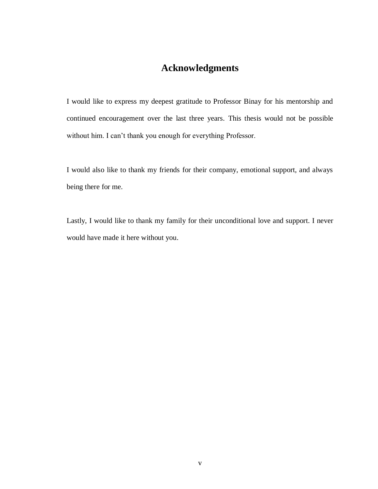### **Acknowledgments**

I would like to express my deepest gratitude to Professor Binay for his mentorship and continued encouragement over the last three years. This thesis would not be possible without him. I can't thank you enough for everything Professor.

I would also like to thank my friends for their company, emotional support, and always being there for me.

Lastly, I would like to thank my family for their unconditional love and support. I never would have made it here without you.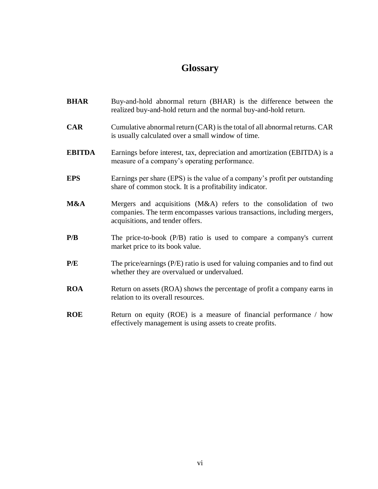### **Glossary**

**BHAR** Buy-and-hold abnormal return (BHAR) is the difference between the realized buy-and-hold return and the normal buy-and-hold return. **CAR** Cumulative abnormal return (CAR) is the total of all abnormal returns. CAR is usually calculated over a small window of time. **EBITDA** Earnings before interest, tax, depreciation and amortization (EBITDA) is a measure of a company's operating performance. **EPS** Earnings per share (EPS) is the value of a company's profit per outstanding share of common stock. It is a profitability indicator. **M&A** Mergers and acquisitions (M&A) refers to the consolidation of two companies. The term encompasses various transactions, including mergers, acquisitions, and tender offers. **P/B** The price-to-book (P/B) ratio is used to compare a company's current market price to its book value. **P/E** The price/earnings (P/E) ratio is used for valuing companies and to find out whether they are overvalued or undervalued. **ROA** Return on assets (ROA) shows the percentage of profit a company earns in relation to its overall resources. **ROE** Return on equity (ROE) is a measure of financial performance / how effectively management is using assets to create profits.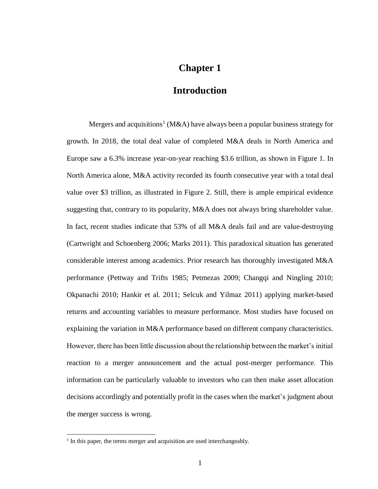### **Chapter 1**

#### **Introduction**

Mergers and acquisitions<sup>1</sup> (M&A) have always been a popular business strategy for growth. In 2018, the total deal value of completed M&A deals in North America and Europe saw a 6.3% increase year-on-year reaching \$3.6 trillion, as shown in Figure 1. In North America alone, M&A activity recorded its fourth consecutive year with a total deal value over \$3 trillion, as illustrated in Figure 2. Still, there is ample empirical evidence suggesting that, contrary to its popularity, M&A does not always bring shareholder value. In fact, recent studies indicate that 53% of all M&A deals fail and are value-destroying (Cartwright and Schoenberg 2006; Marks 2011). This paradoxical situation has generated considerable interest among academics. Prior research has thoroughly investigated M&A performance (Pettway and Trifts 1985; Petmezas 2009; Changqi and Ningling 2010; Okpanachi 2010; Hankir et al. 2011; Selcuk and Yilmaz 2011) applying market-based returns and accounting variables to measure performance. Most studies have focused on explaining the variation in M&A performance based on different company characteristics. However, there has been little discussion about the relationship between the market's initial reaction to a merger announcement and the actual post-merger performance. This information can be particularly valuable to investors who can then make asset allocation decisions accordingly and potentially profit in the cases when the market's judgment about the merger success is wrong.

 $\overline{a}$ 

 $<sup>1</sup>$  In this paper, the terms merger and acquisition are used interchangeably.</sup>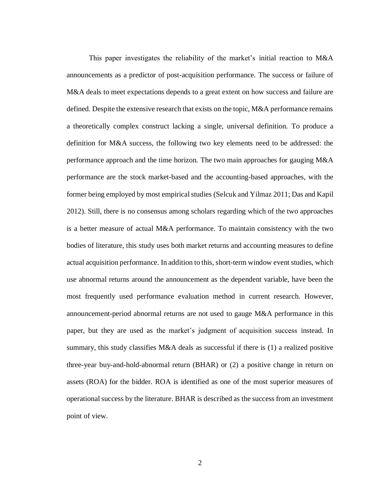This paper investigates the reliability of the market's initial reaction to M&A announcements as a predictor of post-acquisition performance. The success or failure of M&A deals to meet expectations depends to a great extent on how success and failure are defined. Despite the extensive research that exists on the topic, M&A performance remains a theoretically complex construct lacking a single, universal definition. To produce a definition for M&A success, the following two key elements need to be addressed: the performance approach and the time horizon. The two main approaches for gauging M&A performance are the stock market-based and the accounting-based approaches, with the former being employed by most empirical studies (Selcuk and Yilmaz 2011; Das and Kapil 2012). Still, there is no consensus among scholars regarding which of the two approaches is a better measure of actual M&A performance. To maintain consistency with the two bodies of literature, this study uses both market returns and accounting measures to define actual acquisition performance. In addition to this, short-term window event studies, which use abnormal returns around the announcement as the dependent variable, have been the most frequently used performance evaluation method in current research. However, announcement-period abnormal returns are not used to gauge M&A performance in this paper, but they are used as the market's judgment of acquisition success instead. In summary, this study classifies M&A deals as successful if there is (1) a realized positive three-year buy-and-hold-abnormal return (BHAR) or (2) a positive change in return on assets (ROA) for the bidder. ROA is identified as one of the most superior measures of operational success by the literature. BHAR is described as the success from an investment point of view.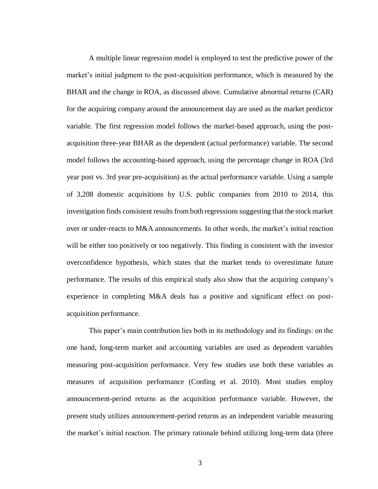A multiple linear regression model is employed to test the predictive power of the market's initial judgment to the post-acquisition performance, which is measured by the BHAR and the change in ROA, as discussed above. Cumulative abnormal returns (CAR) for the acquiring company around the announcement day are used as the market predictor variable. The first regression model follows the market-based approach, using the postacquisition three-year BHAR as the dependent (actual performance) variable. The second model follows the accounting-based approach, using the percentage change in ROA (3rd year post vs. 3rd year pre-acquisition) as the actual performance variable. Using a sample of 3,208 domestic acquisitions by U.S. public companies from 2010 to 2014, this investigation finds consistent results from both regressions suggesting that the stock market over or under-reacts to M&A announcements. In other words, the market's initial reaction will be either too positively or too negatively. This finding is consistent with the investor overconfidence hypothesis, which states that the market tends to overestimate future performance. The results of this empirical study also show that the acquiring company's experience in completing M&A deals has a positive and significant effect on postacquisition performance.

This paper's main contribution lies both in its methodology and its findings: on the one hand, long-term market and accounting variables are used as dependent variables measuring post-acquisition performance. Very few studies use both these variables as measures of acquisition performance (Cording et al. 2010). Most studies employ announcement-period returns as the acquisition performance variable. However, the present study utilizes announcement-period returns as an independent variable measuring the market's initial reaction. The primary rationale behind utilizing long-term data (three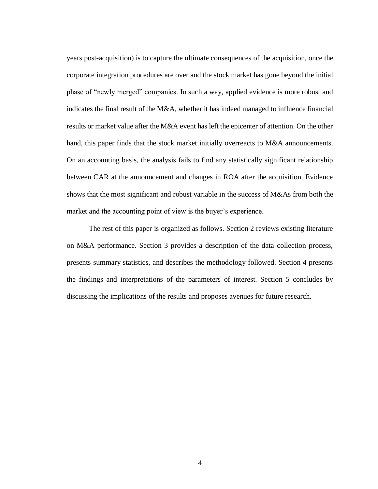years post-acquisition) is to capture the ultimate consequences of the acquisition, once the corporate integration procedures are over and the stock market has gone beyond the initial phase of "newly merged" companies. In such a way, applied evidence is more robust and indicates the final result of the M&A, whether it has indeed managed to influence financial results or market value after the M&A event has left the epicenter of attention. On the other hand, this paper finds that the stock market initially overreacts to M&A announcements. On an accounting basis, the analysis fails to find any statistically significant relationship between CAR at the announcement and changes in ROA after the acquisition. Evidence shows that the most significant and robust variable in the success of M&As from both the market and the accounting point of view is the buyer's experience.

The rest of this paper is organized as follows. Section 2 reviews existing literature on M&A performance. Section 3 provides a description of the data collection process, presents summary statistics, and describes the methodology followed. Section 4 presents the findings and interpretations of the parameters of interest. Section 5 concludes by discussing the implications of the results and proposes avenues for future research.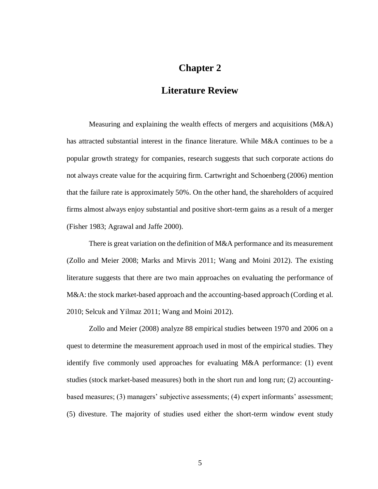### **Chapter 2**

### **Literature Review**

Measuring and explaining the wealth effects of mergers and acquisitions (M&A) has attracted substantial interest in the finance literature. While M&A continues to be a popular growth strategy for companies, research suggests that such corporate actions do not always create value for the acquiring firm. Cartwright and Schoenberg (2006) mention that the failure rate is approximately 50%. On the other hand, the shareholders of acquired firms almost always enjoy substantial and positive short-term gains as a result of a merger (Fisher 1983; Agrawal and Jaffe 2000).

There is great variation on the definition of M&A performance and its measurement (Zollo and Meier 2008; Marks and Mirvis 2011; Wang and Moini 2012). The existing literature suggests that there are two main approaches on evaluating the performance of M&A: the stock market-based approach and the accounting-based approach (Cording et al. 2010; Selcuk and Yilmaz 2011; Wang and Moini 2012).

Zollo and Meier (2008) analyze 88 empirical studies between 1970 and 2006 on a quest to determine the measurement approach used in most of the empirical studies. They identify five commonly used approaches for evaluating M&A performance: (1) event studies (stock market-based measures) both in the short run and long run; (2) accountingbased measures; (3) managers' subjective assessments; (4) expert informants' assessment; (5) divesture. The majority of studies used either the short-term window event study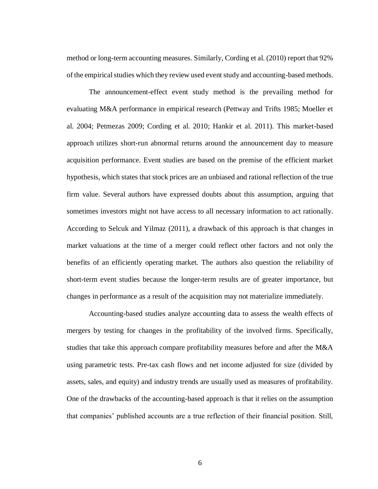method or long-term accounting measures. Similarly, Cording et al. (2010) report that 92% of the empirical studies which they review used event study and accounting-based methods.

The announcement-effect event study method is the prevailing method for evaluating M&A performance in empirical research (Pettway and Trifts 1985; Moeller et al. 2004; Petmezas 2009; Cording et al. 2010; Hankir et al. 2011). This market-based approach utilizes short-run abnormal returns around the announcement day to measure acquisition performance. Event studies are based on the premise of the efficient market hypothesis, which states that stock prices are an unbiased and rational reflection of the true firm value. Several authors have expressed doubts about this assumption, arguing that sometimes investors might not have access to all necessary information to act rationally. According to Selcuk and Yilmaz (2011), a drawback of this approach is that changes in market valuations at the time of a merger could reflect other factors and not only the benefits of an efficiently operating market. The authors also question the reliability of short-term event studies because the longer-term results are of greater importance, but changes in performance as a result of the acquisition may not materialize immediately.

Accounting-based studies analyze accounting data to assess the wealth effects of mergers by testing for changes in the profitability of the involved firms. Specifically, studies that take this approach compare profitability measures before and after the M&A using parametric tests. Pre-tax cash flows and net income adjusted for size (divided by assets, sales, and equity) and industry trends are usually used as measures of profitability. One of the drawbacks of the accounting-based approach is that it relies on the assumption that companies' published accounts are a true reflection of their financial position. Still,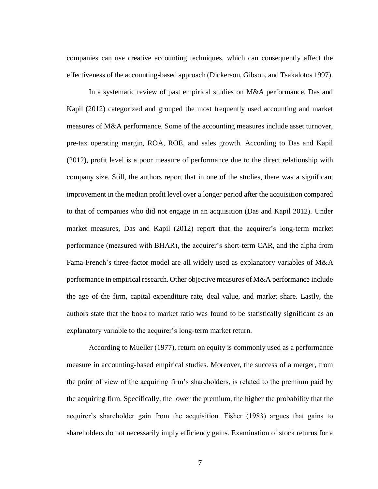companies can use creative accounting techniques, which can consequently affect the effectiveness of the accounting-based approach (Dickerson, Gibson, and Tsakalotos 1997).

In a systematic review of past empirical studies on M&A performance, Das and Kapil (2012) categorized and grouped the most frequently used accounting and market measures of M&A performance. Some of the accounting measures include asset turnover, pre-tax operating margin, ROA, ROE, and sales growth. According to Das and Kapil (2012), profit level is a poor measure of performance due to the direct relationship with company size. Still, the authors report that in one of the studies, there was a significant improvement in the median profit level over a longer period after the acquisition compared to that of companies who did not engage in an acquisition (Das and Kapil 2012). Under market measures, Das and Kapil (2012) report that the acquirer's long-term market performance (measured with BHAR), the acquirer's short-term CAR, and the alpha from Fama-French's three-factor model are all widely used as explanatory variables of M&A performance in empirical research. Other objective measures of M&A performance include the age of the firm, capital expenditure rate, deal value, and market share. Lastly, the authors state that the book to market ratio was found to be statistically significant as an explanatory variable to the acquirer's long-term market return.

According to Mueller (1977), return on equity is commonly used as a performance measure in accounting-based empirical studies. Moreover, the success of a merger, from the point of view of the acquiring firm's shareholders, is related to the premium paid by the acquiring firm. Specifically, the lower the premium, the higher the probability that the acquirer's shareholder gain from the acquisition. Fisher (1983) argues that gains to shareholders do not necessarily imply efficiency gains. Examination of stock returns for a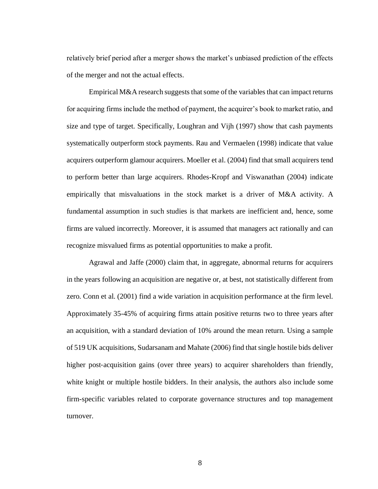relatively brief period after a merger shows the market's unbiased prediction of the effects of the merger and not the actual effects.

Empirical M&A research suggests that some of the variables that can impact returns for acquiring firms include the method of payment, the acquirer's book to market ratio, and size and type of target. Specifically, Loughran and Vijh (1997) show that cash payments systematically outperform stock payments. Rau and Vermaelen (1998) indicate that value acquirers outperform glamour acquirers. Moeller et al. (2004) find that small acquirers tend to perform better than large acquirers. Rhodes-Kropf and Viswanathan (2004) indicate empirically that misvaluations in the stock market is a driver of M&A activity. A fundamental assumption in such studies is that markets are inefficient and, hence, some firms are valued incorrectly. Moreover, it is assumed that managers act rationally and can recognize misvalued firms as potential opportunities to make a profit.

Agrawal and Jaffe (2000) claim that, in aggregate, abnormal returns for acquirers in the years following an acquisition are negative or, at best, not statistically different from zero. Conn et al. (2001) find a wide variation in acquisition performance at the firm level. Approximately 35-45% of acquiring firms attain positive returns two to three years after an acquisition, with a standard deviation of 10% around the mean return. Using a sample of 519 UK acquisitions, Sudarsanam and Mahate (2006) find that single hostile bids deliver higher post-acquisition gains (over three years) to acquirer shareholders than friendly, white knight or multiple hostile bidders. In their analysis, the authors also include some firm-specific variables related to corporate governance structures and top management turnover.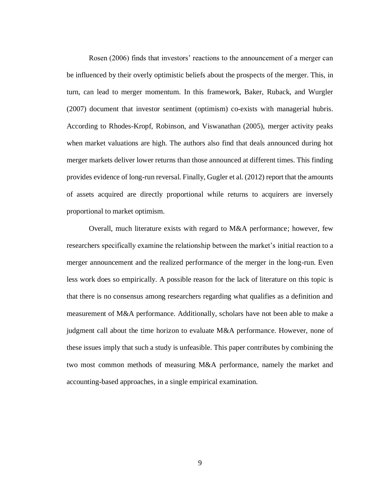Rosen (2006) finds that investors' reactions to the announcement of a merger can be influenced by their overly optimistic beliefs about the prospects of the merger. This, in turn, can lead to merger momentum. In this framework, Baker, Ruback, and Wurgler (2007) document that investor sentiment (optimism) co-exists with managerial hubris. According to Rhodes-Kropf, Robinson, and Viswanathan (2005), merger activity peaks when market valuations are high. The authors also find that deals announced during hot merger markets deliver lower returns than those announced at different times. This finding provides evidence of long-run reversal. Finally, Gugler et al. (2012) report that the amounts of assets acquired are directly proportional while returns to acquirers are inversely proportional to market optimism.

Overall, much literature exists with regard to M&A performance; however, few researchers specifically examine the relationship between the market's initial reaction to a merger announcement and the realized performance of the merger in the long-run. Even less work does so empirically. A possible reason for the lack of literature on this topic is that there is no consensus among researchers regarding what qualifies as a definition and measurement of M&A performance. Additionally, scholars have not been able to make a judgment call about the time horizon to evaluate M&A performance. However, none of these issues imply that such a study is unfeasible. This paper contributes by combining the two most common methods of measuring M&A performance, namely the market and accounting-based approaches, in a single empirical examination.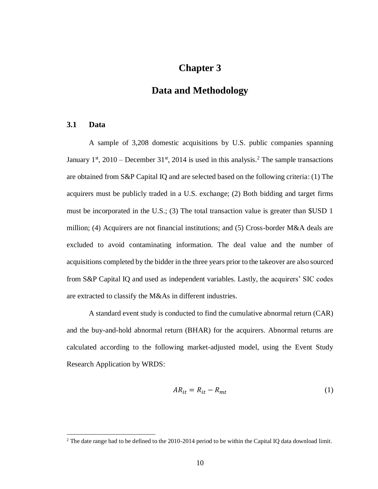### **Chapter 3**

### **Data and Methodology**

#### **3.1 Data**

 $\overline{a}$ 

A sample of 3,208 domestic acquisitions by U.S. public companies spanning January  $1<sup>st</sup>$ , 2010 – December 31<sup>st</sup>, 2014 is used in this analysis.<sup>2</sup> The sample transactions are obtained from S&P Capital IQ and are selected based on the following criteria: (1) The acquirers must be publicly traded in a U.S. exchange; (2) Both bidding and target firms must be incorporated in the U.S.; (3) The total transaction value is greater than \$USD 1 million; (4) Acquirers are not financial institutions; and (5) Cross-border M&A deals are excluded to avoid contaminating information. The deal value and the number of acquisitions completed by the bidder in the three years prior to the takeover are also sourced from S&P Capital IQ and used as independent variables. Lastly, the acquirers' SIC codes are extracted to classify the M&As in different industries.

A standard event study is conducted to find the cumulative abnormal return (CAR) and the buy-and-hold abnormal return (BHAR) for the acquirers. Abnormal returns are calculated according to the following market-adjusted model, using the Event Study Research Application by WRDS:

$$
AR_{it} = R_{it} - R_{mt} \tag{1}
$$

<sup>&</sup>lt;sup>2</sup> The date range had to be defined to the 2010-2014 period to be within the Capital IQ data download limit.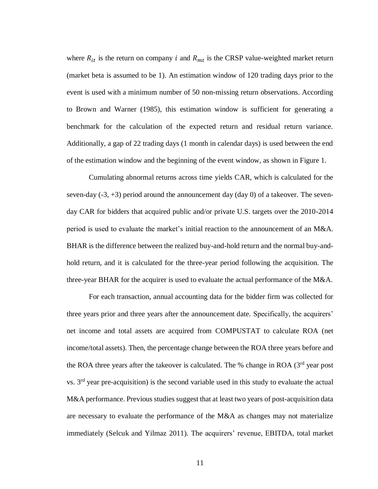where  $R_{it}$  is the return on company *i* and  $R_{mt}$  is the CRSP value-weighted market return (market beta is assumed to be 1). An estimation window of 120 trading days prior to the event is used with a minimum number of 50 non-missing return observations. According to Brown and Warner (1985), this estimation window is sufficient for generating a benchmark for the calculation of the expected return and residual return variance. Additionally, a gap of 22 trading days (1 month in calendar days) is used between the end of the estimation window and the beginning of the event window, as shown in Figure 1.

Cumulating abnormal returns across time yields CAR, which is calculated for the seven-day  $(-3, +3)$  period around the announcement day  $(\text{day } 0)$  of a takeover. The sevenday CAR for bidders that acquired public and/or private U.S. targets over the 2010-2014 period is used to evaluate the market's initial reaction to the announcement of an M&A. BHAR is the difference between the realized buy-and-hold return and the normal buy-andhold return, and it is calculated for the three-year period following the acquisition. The three-year BHAR for the acquirer is used to evaluate the actual performance of the M&A.

For each transaction, annual accounting data for the bidder firm was collected for three years prior and three years after the announcement date. Specifically, the acquirers' net income and total assets are acquired from COMPUSTAT to calculate ROA (net income/total assets). Then, the percentage change between the ROA three years before and the ROA three years after the takeover is calculated. The % change in ROA  $(3<sup>rd</sup>$  year post vs.  $3<sup>rd</sup>$  year pre-acquisition) is the second variable used in this study to evaluate the actual M&A performance. Previous studies suggest that at least two years of post-acquisition data are necessary to evaluate the performance of the M&A as changes may not materialize immediately (Selcuk and Yilmaz 2011). The acquirers' revenue, EBITDA, total market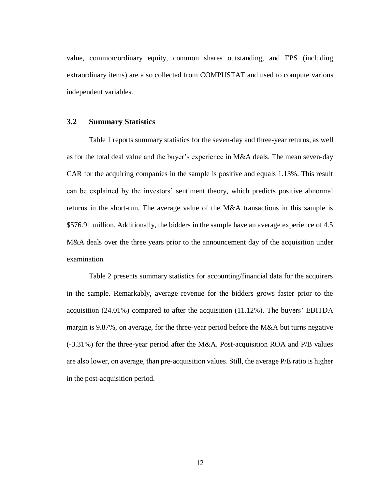value, common/ordinary equity, common shares outstanding, and EPS (including extraordinary items) are also collected from COMPUSTAT and used to compute various independent variables.

#### **3.2 Summary Statistics**

Table 1 reports summary statistics for the seven-day and three-year returns, as well as for the total deal value and the buyer's experience in M&A deals. The mean seven-day CAR for the acquiring companies in the sample is positive and equals 1.13%. This result can be explained by the investors' sentiment theory, which predicts positive abnormal returns in the short-run. The average value of the M&A transactions in this sample is \$576.91 million. Additionally, the bidders in the sample have an average experience of 4.5 M&A deals over the three years prior to the announcement day of the acquisition under examination.

Table 2 presents summary statistics for accounting/financial data for the acquirers in the sample. Remarkably, average revenue for the bidders grows faster prior to the acquisition (24.01%) compared to after the acquisition (11.12%). The buyers' EBITDA margin is 9.87%, on average, for the three-year period before the M&A but turns negative (-3.31%) for the three-year period after the M&A. Post-acquisition ROA and P/B values are also lower, on average, than pre-acquisition values. Still, the average P/E ratio is higher in the post-acquisition period.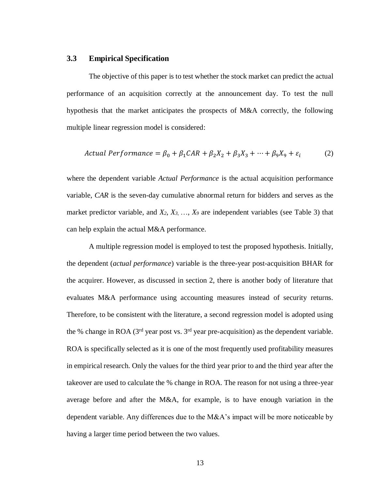#### **3.3 Empirical Specification**

The objective of this paper is to test whether the stock market can predict the actual performance of an acquisition correctly at the announcement day. To test the null hypothesis that the market anticipates the prospects of M&A correctly, the following multiple linear regression model is considered:

$$
Actual Performance = \beta_0 + \beta_1 CAR + \beta_2 X_2 + \beta_3 X_3 + \dots + \beta_9 X_9 + \varepsilon_i
$$
 (2)

where the dependent variable *Actual Performance* is the actual acquisition performance variable, *CAR* is the seven-day cumulative abnormal return for bidders and serves as the market predictor variable, and *X2*, *X3*, …, *X<sup>9</sup>* are independent variables (see Table 3) that can help explain the actual M&A performance.

A multiple regression model is employed to test the proposed hypothesis. Initially, the dependent (*actual performance*) variable is the three-year post-acquisition BHAR for the acquirer. However, as discussed in section 2, there is another body of literature that evaluates M&A performance using accounting measures instead of security returns. Therefore, to be consistent with the literature, a second regression model is adopted using the % change in ROA ( $3<sup>rd</sup>$  year post vs.  $3<sup>rd</sup>$  year pre-acquisition) as the dependent variable. ROA is specifically selected as it is one of the most frequently used profitability measures in empirical research. Only the values for the third year prior to and the third year after the takeover are used to calculate the % change in ROA. The reason for not using a three-year average before and after the M&A, for example, is to have enough variation in the dependent variable. Any differences due to the M&A's impact will be more noticeable by having a larger time period between the two values.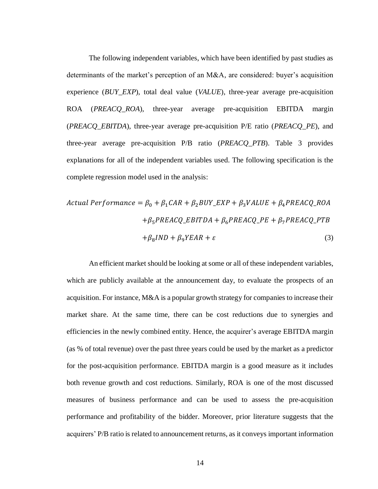The following independent variables, which have been identified by past studies as determinants of the market's perception of an M&A, are considered: buyer's acquisition experience (*BUY\_EXP*), total deal value (*VALUE*), three-year average pre-acquisition ROA (*PREACQ\_ROA*), three-year average pre-acquisition EBITDA margin (*PREACQ\_EBITDA*), three-year average pre-acquisition P/E ratio (*PREACQ\_PE*), and three-year average pre-acquisition P/B ratio (*PREACQ\_PTB*). Table 3 provides explanations for all of the independent variables used. The following specification is the complete regression model used in the analysis:

Actual Performance = 
$$
\beta_0 + \beta_1 CAR + \beta_2 BUY\_EXP + \beta_3 VALUE + \beta_4 PREACQ\_ROA
$$
  
+ $\beta_5 PREACQ\_EBITDA + \beta_6 PREACQ\_PE + \beta_7 PREACQ\_PTB$   
+ $\beta_8 IND + \beta_9 YEAR + \varepsilon$  (3)

An efficient market should be looking at some or all of these independent variables, which are publicly available at the announcement day, to evaluate the prospects of an acquisition. For instance, M&A is a popular growth strategy for companies to increase their market share. At the same time, there can be cost reductions due to synergies and efficiencies in the newly combined entity. Hence, the acquirer's average EBITDA margin (as % of total revenue) over the past three years could be used by the market as a predictor for the post-acquisition performance. EBITDA margin is a good measure as it includes both revenue growth and cost reductions. Similarly, ROA is one of the most discussed measures of business performance and can be used to assess the pre-acquisition performance and profitability of the bidder. Moreover, prior literature suggests that the acquirers' P/B ratio is related to announcement returns, as it conveys important information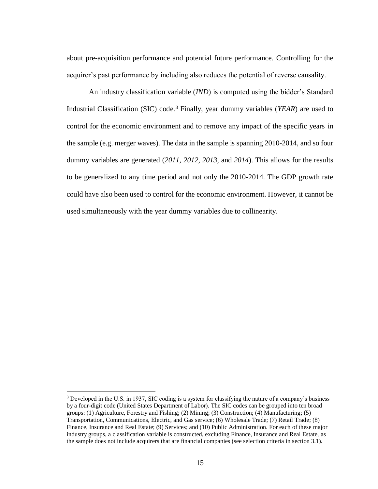about pre-acquisition performance and potential future performance. Controlling for the acquirer's past performance by including also reduces the potential of reverse causality.

An industry classification variable (*IND*) is computed using the bidder's Standard Industrial Classification (SIC) code.<sup>3</sup> Finally, year dummy variables (*YEAR*) are used to control for the economic environment and to remove any impact of the specific years in the sample (e.g. merger waves). The data in the sample is spanning 2010-2014, and so four dummy variables are generated (*2011*, *2012*, *2013*, and *2014*). This allows for the results to be generalized to any time period and not only the 2010-2014. The GDP growth rate could have also been used to control for the economic environment. However, it cannot be used simultaneously with the year dummy variables due to collinearity.

 $\overline{a}$ 

<sup>&</sup>lt;sup>3</sup> Developed in the U.S. in 1937, SIC coding is a system for classifying the nature of a company's business by a four-digit code (United States Department of Labor). The SIC codes can be grouped into ten broad groups: (1) Agriculture, Forestry and Fishing; (2) Mining; (3) Construction; (4) Manufacturing; (5) Transportation, Communications, Electric, and Gas service; (6) Wholesale Trade; (7) Retail Trade; (8) Finance, Insurance and Real Estate; (9) Services; and (10) Public Administration. For each of these major industry groups, a classification variable is constructed, excluding Finance, Insurance and Real Estate, as the sample does not include acquirers that are financial companies (see selection criteria in section 3.1).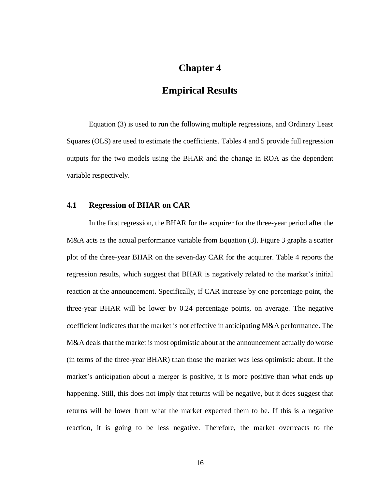### **Chapter 4**

### **Empirical Results**

Equation (3) is used to run the following multiple regressions, and Ordinary Least Squares (OLS) are used to estimate the coefficients. Tables 4 and 5 provide full regression outputs for the two models using the BHAR and the change in ROA as the dependent variable respectively.

#### **4.1 Regression of BHAR on CAR**

In the first regression, the BHAR for the acquirer for the three-year period after the M&A acts as the actual performance variable from Equation (3). Figure 3 graphs a scatter plot of the three-year BHAR on the seven-day CAR for the acquirer. Table 4 reports the regression results, which suggest that BHAR is negatively related to the market's initial reaction at the announcement. Specifically, if CAR increase by one percentage point, the three-year BHAR will be lower by 0.24 percentage points, on average. The negative coefficient indicates that the market is not effective in anticipating M&A performance. The M&A deals that the market is most optimistic about at the announcement actually do worse (in terms of the three-year BHAR) than those the market was less optimistic about. If the market's anticipation about a merger is positive, it is more positive than what ends up happening. Still, this does not imply that returns will be negative, but it does suggest that returns will be lower from what the market expected them to be. If this is a negative reaction, it is going to be less negative. Therefore, the market overreacts to the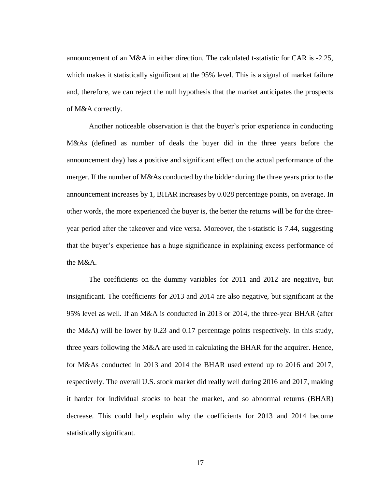announcement of an M&A in either direction. The calculated t-statistic for CAR is -2.25, which makes it statistically significant at the 95% level. This is a signal of market failure and, therefore, we can reject the null hypothesis that the market anticipates the prospects of M&A correctly.

Another noticeable observation is that the buyer's prior experience in conducting M&As (defined as number of deals the buyer did in the three years before the announcement day) has a positive and significant effect on the actual performance of the merger. If the number of M&As conducted by the bidder during the three years prior to the announcement increases by 1, BHAR increases by 0.028 percentage points, on average. In other words, the more experienced the buyer is, the better the returns will be for the threeyear period after the takeover and vice versa. Moreover, the t-statistic is 7.44, suggesting that the buyer's experience has a huge significance in explaining excess performance of the M&A.

The coefficients on the dummy variables for 2011 and 2012 are negative, but insignificant. The coefficients for 2013 and 2014 are also negative, but significant at the 95% level as well. If an M&A is conducted in 2013 or 2014, the three-year BHAR (after the M&A) will be lower by 0.23 and 0.17 percentage points respectively. In this study, three years following the M&A are used in calculating the BHAR for the acquirer. Hence, for M&As conducted in 2013 and 2014 the BHAR used extend up to 2016 and 2017, respectively. The overall U.S. stock market did really well during 2016 and 2017, making it harder for individual stocks to beat the market, and so abnormal returns (BHAR) decrease. This could help explain why the coefficients for 2013 and 2014 become statistically significant.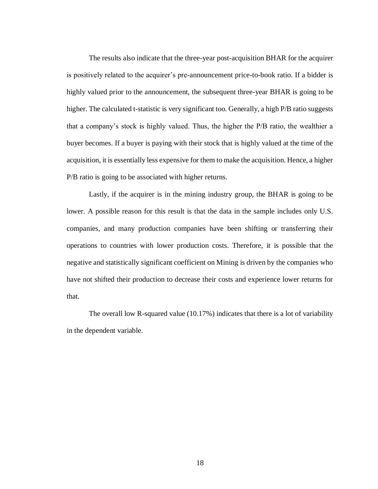The results also indicate that the three-year post-acquisition BHAR for the acquirer is positively related to the acquirer's pre-announcement price-to-book ratio. If a bidder is highly valued prior to the announcement, the subsequent three-year BHAR is going to be higher. The calculated t-statistic is very significant too. Generally, a high P/B ratio suggests that a company's stock is highly valued. Thus, the higher the P/B ratio, the wealthier a buyer becomes. If a buyer is paying with their stock that is highly valued at the time of the acquisition, it is essentially less expensive for them to make the acquisition. Hence, a higher P/B ratio is going to be associated with higher returns.

Lastly, if the acquirer is in the mining industry group, the BHAR is going to be lower. A possible reason for this result is that the data in the sample includes only U.S. companies, and many production companies have been shifting or transferring their operations to countries with lower production costs. Therefore, it is possible that the negative and statistically significant coefficient on Mining is driven by the companies who have not shifted their production to decrease their costs and experience lower returns for that.

The overall low R-squared value (10.17%) indicates that there is a lot of variability in the dependent variable.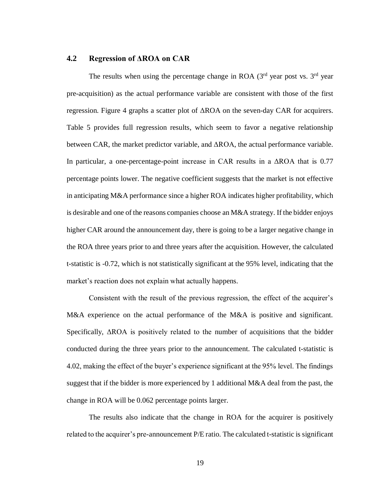#### **4.2 Regression of ΔROA on CAR**

The results when using the percentage change in ROA  $(3<sup>rd</sup>$  year post vs.  $3<sup>rd</sup>$  year pre-acquisition) as the actual performance variable are consistent with those of the first regression. Figure 4 graphs a scatter plot of ΔROA on the seven-day CAR for acquirers. Table 5 provides full regression results, which seem to favor a negative relationship between CAR, the market predictor variable, and  $\triangle$ ROA, the actual performance variable. In particular, a one-percentage-point increase in CAR results in a ΔROA that is 0.77 percentage points lower. The negative coefficient suggests that the market is not effective in anticipating M&A performance since a higher ROA indicates higher profitability, which is desirable and one of the reasons companies choose an M&A strategy. If the bidder enjoys higher CAR around the announcement day, there is going to be a larger negative change in the ROA three years prior to and three years after the acquisition. However, the calculated t-statistic is -0.72, which is not statistically significant at the 95% level, indicating that the market's reaction does not explain what actually happens.

Consistent with the result of the previous regression, the effect of the acquirer's M&A experience on the actual performance of the M&A is positive and significant. Specifically, ΔROA is positively related to the number of acquisitions that the bidder conducted during the three years prior to the announcement. The calculated t-statistic is 4.02, making the effect of the buyer's experience significant at the 95% level. The findings suggest that if the bidder is more experienced by 1 additional M&A deal from the past, the change in ROA will be 0.062 percentage points larger.

The results also indicate that the change in ROA for the acquirer is positively related to the acquirer's pre-announcement P/E ratio. The calculated t-statistic is significant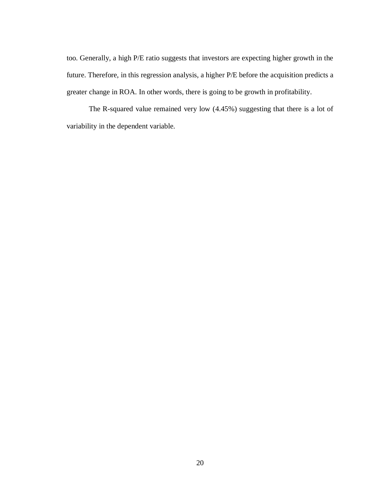too. Generally, a high P/E ratio suggests that investors are expecting higher growth in the future. Therefore, in this regression analysis, a higher P/E before the acquisition predicts a greater change in ROA. In other words, there is going to be growth in profitability.

The R-squared value remained very low (4.45%) suggesting that there is a lot of variability in the dependent variable.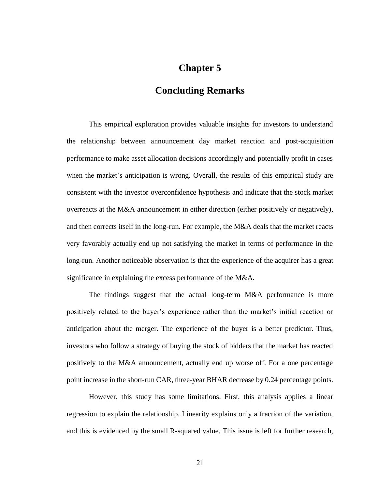### **Chapter 5**

### **Concluding Remarks**

This empirical exploration provides valuable insights for investors to understand the relationship between announcement day market reaction and post-acquisition performance to make asset allocation decisions accordingly and potentially profit in cases when the market's anticipation is wrong. Overall, the results of this empirical study are consistent with the investor overconfidence hypothesis and indicate that the stock market overreacts at the M&A announcement in either direction (either positively or negatively), and then corrects itself in the long-run. For example, the M&A deals that the market reacts very favorably actually end up not satisfying the market in terms of performance in the long-run. Another noticeable observation is that the experience of the acquirer has a great significance in explaining the excess performance of the M&A.

The findings suggest that the actual long-term M&A performance is more positively related to the buyer's experience rather than the market's initial reaction or anticipation about the merger. The experience of the buyer is a better predictor. Thus, investors who follow a strategy of buying the stock of bidders that the market has reacted positively to the M&A announcement, actually end up worse off. For a one percentage point increase in the short-run CAR, three-year BHAR decrease by 0.24 percentage points.

However, this study has some limitations. First, this analysis applies a linear regression to explain the relationship. Linearity explains only a fraction of the variation, and this is evidenced by the small R-squared value. This issue is left for further research,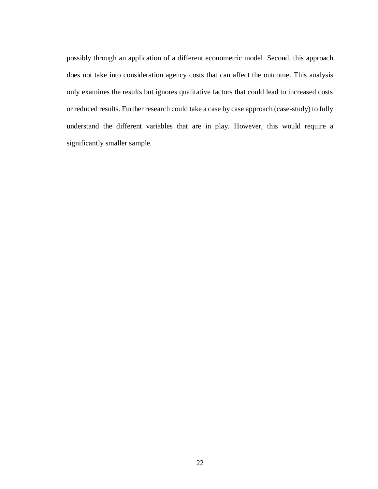possibly through an application of a different econometric model. Second, this approach does not take into consideration agency costs that can affect the outcome. This analysis only examines the results but ignores qualitative factors that could lead to increased costs or reduced results. Further research could take a case by case approach (case-study) to fully understand the different variables that are in play. However, this would require a significantly smaller sample.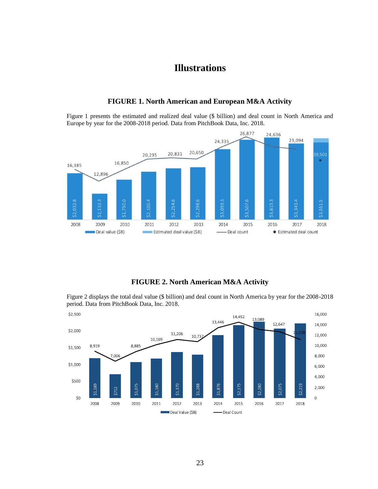### **Illustrations**



**FIGURE 1. North American and European M&A Activity**

Figure 1 presents the estimated and realized deal value (\$ billion) and deal count in North America and Europe by year for the 2008-2018 period. Data from PitchBook Data, Inc. 2018.

#### **FIGURE 2. North American M&A Activity**

Figure 2 displays the total deal value (\$ billion) and deal count in North America by year for the 2008-2018 period. Data from PitchBook Data, Inc. 2018.

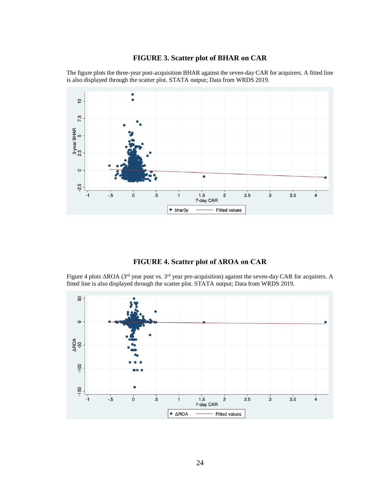#### **FIGURE 3. Scatter plot of BHAR on CAR**

The figure plots the three-year post-acquisition BHAR against the seven-day CAR for acquirers. A fitted line is also displayed through the scatter plot. STATA output; Data from WRDS 2019.



#### **FIGURE 4. Scatter plot of ΔROA on CAR**

Figure 4 plots  $\triangle$ ROA (3<sup>rd</sup> year post vs. 3<sup>rd</sup> year pre-acquisition) against the seven-day CAR for acquirers. A fitted line is also displayed through the scatter plot. STATA output; Data from WRDS 2019.

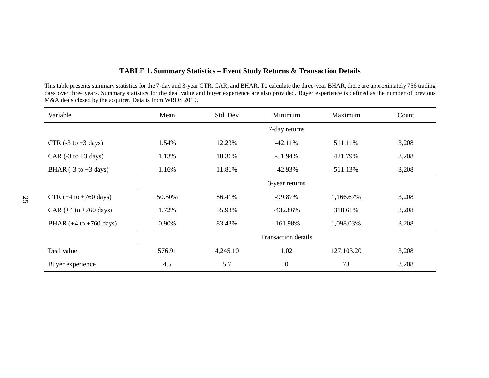| TABLE 1. Summary Statistics - Event Study Returns & Transaction Details |  |  |  |  |  |
|-------------------------------------------------------------------------|--|--|--|--|--|
|-------------------------------------------------------------------------|--|--|--|--|--|

This table presents summary statistics for the 7-day and 3-year CTR, CAR, and BHAR. To calculate the three-year BHAR, there are approximately 756 trading days over three years. Summary statistics for the deal value and buyer experience are also provided. Buyer experience is defined as the number of previous M&A deals closed by the acquirer. Data is from WRDS 2019.

| Variable                                  | Mean                       | Std. Dev | Minimum          | Maximum    | Count |
|-------------------------------------------|----------------------------|----------|------------------|------------|-------|
|                                           |                            |          | 7-day returns    |            |       |
| CTR $(-3 \text{ to } +3 \text{ days})$    | 1.54%                      | 12.23%   | $-42.11%$        | 511.11%    | 3,208 |
| CAR $(-3 \text{ to } +3 \text{ days})$    | 1.13%                      | 10.36%   | $-51.94%$        | 421.79%    | 3,208 |
| BHAR $(-3 \text{ to } +3 \text{ days})$   | 1.16%                      | 11.81%   | $-42.93\%$       | 511.13%    | 3,208 |
|                                           |                            |          | 3-year returns   |            |       |
| CTR $(+4 \text{ to } +760 \text{ days})$  | 50.50%                     | 86.41%   | $-99.87%$        | 1,166.67%  | 3,208 |
| CAR $(+4 \text{ to } +760 \text{ days})$  | 1.72%                      | 55.93%   | $-432.86%$       | 318.61%    | 3,208 |
| BHAR $(+4 \text{ to } +760 \text{ days})$ | 0.90%                      | 83.43%   | $-161.98%$       | 1,098.03%  | 3,208 |
|                                           | <b>Transaction details</b> |          |                  |            |       |
| Deal value                                | 576.91                     | 4,245.10 | 1.02             | 127,103.20 | 3,208 |
| Buyer experience                          | 4.5                        | 5.7      | $\boldsymbol{0}$ | 73         | 3,208 |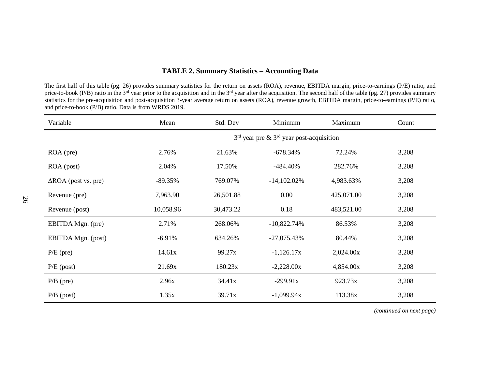#### **TABLE 2. Summary Statistics – Accounting Data**

The first half of this table (pg. 26) provides summary statistics for the return on assets (ROA), revenue, EBITDA margin, price-to-earnings (P/E) ratio, and price-to-book (P/B) ratio in the 3<sup>rd</sup> year prior to the acquisition and in the 3<sup>rd</sup> year after the acquisition. The second half of the table (pg. 27) provides summary statistics for the pre-acquisition and post-acquisition 3-year average return on assets (ROA), revenue growth, EBITDA margin, price-to-earnings (P/E) ratio, and price-to-book (P/B) ratio. Data is from WRDS 2019.

| Variable                       | Mean                                         | Std. Dev  | Minimum        | Maximum    | Count |
|--------------------------------|----------------------------------------------|-----------|----------------|------------|-------|
|                                | $3rd$ year pre & $3rd$ year post-acquisition |           |                |            |       |
| $ROA$ (pre)                    | 2.76%                                        | 21.63%    | $-678.34%$     | 72.24%     | 3,208 |
| ROA (post)                     | 2.04%                                        | 17.50%    | -484.40%       | 282.76%    | 3,208 |
| $\triangle$ ROA (post vs. pre) | $-89.35%$                                    | 769.07%   | $-14,102.02\%$ | 4,983.63%  | 3,208 |
| Revenue (pre)                  | 7,963.90                                     | 26,501.88 | 0.00           | 425,071.00 | 3,208 |
| Revenue (post)                 | 10,058.96                                    | 30,473.22 | 0.18           | 483,521.00 | 3,208 |
| EBITDA Mgn. (pre)              | 2.71%                                        | 268.06%   | $-10,822.74%$  | 86.53%     | 3,208 |
| EBITDA Mgn. (post)             | $-6.91%$                                     | 634.26%   | $-27,075.43\%$ | 80.44%     | 3,208 |
| $P/E$ (pre)                    | 14.61x                                       | 99.27x    | $-1,126.17x$   | 2,024.00x  | 3,208 |
| $P/E$ (post)                   | 21.69x                                       | 180.23x   | $-2,228.00x$   | 4,854.00x  | 3,208 |
| $P/B$ (pre)                    | 2.96x                                        | 34.41x    | $-299.91x$     | 923.73x    | 3,208 |
| $P/B$ (post)                   | 1.35x                                        | 39.71x    | $-1,099.94x$   | 113.38x    | 3,208 |

*(continued on next page)*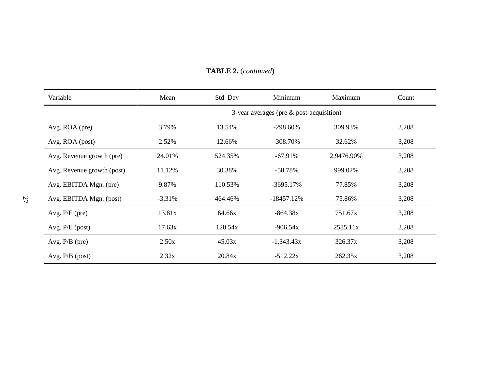| Variable                   | Mean                                        | Std. Dev | Minimum      | Maximum    | Count |
|----------------------------|---------------------------------------------|----------|--------------|------------|-------|
|                            | 3-year averages (pre $\&$ post-acquisition) |          |              |            |       |
| Avg. ROA (pre)             | 3.79%                                       | 13.54%   | $-298.60\%$  | 309.93%    | 3,208 |
| Avg. ROA (post)            | 2.52%                                       | 12.66%   | $-308.70\%$  | 32.62%     | 3,208 |
| Avg. Revenue growth (pre)  | 24.01%                                      | 524.35%  | $-67.91%$    | 2,9476.90% | 3,208 |
| Avg. Revenue growth (post) | 11.12%                                      | 30.38%   | $-58.78%$    | 999.02%    | 3,208 |
| Avg. EBITDA Mgn. (pre)     | 9.87%                                       | 110.53%  | $-3695.17%$  | 77.85%     | 3,208 |
| Avg. EBITDA Mgn. (post)    | $-3.31%$                                    | 464.46%  | $-18457.12%$ | 75.86%     | 3,208 |
| Avg. $P/E$ (pre)           | 13.81x                                      | 64.66x   | $-864.38x$   | 751.67x    | 3,208 |
| Avg. P/E (post)            | 17.63x                                      | 120.54x  | $-906.54x$   | 2585.11x   | 3,208 |
| Avg. $P/B$ (pre)           | 2.50x                                       | 45.03x   | $-1,343.43x$ | 326.37x    | 3,208 |
| Avg. $P/B$ (post)          | 2.32x                                       | 20.84x   | $-512.22x$   | 262.35x    | 3,208 |

#### **TABLE 2.** (*continued*)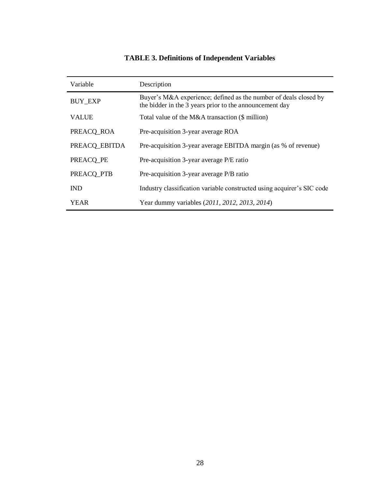### **TABLE 3. Definitions of Independent Variables**

| Variable       | Description                                                                                                                 |
|----------------|-----------------------------------------------------------------------------------------------------------------------------|
| <b>BUY EXP</b> | Buyer's M&A experience; defined as the number of deals closed by<br>the bidder in the 3 years prior to the announcement day |
| <b>VALUE</b>   | Total value of the M&A transaction (\$ million)                                                                             |
| PREACQ_ROA     | Pre-acquisition 3-year average ROA                                                                                          |
| PREACO EBITDA  | Pre-acquisition 3-year average EBITDA margin (as % of revenue)                                                              |
| PREACO PE      | Pre-acquisition 3-year average P/E ratio                                                                                    |
| PREACQ_PTB     | Pre-acquisition 3-year average P/B ratio                                                                                    |
| <b>IND</b>     | Industry classification variable constructed using acquirer's SIC code                                                      |
| YEAR           | Year dummy variables (2011, 2012, 2013, 2014)                                                                               |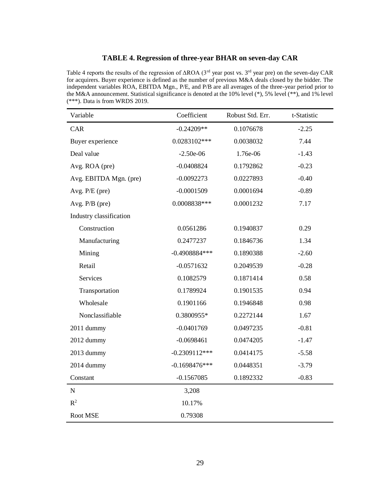#### **TABLE 4. Regression of three-year BHAR on seven-day CAR**

Table 4 reports the results of the regression of ΔROA (3rd year post vs. 3rd year pre) on the seven-day CAR for acquirers. Buyer experience is defined as the number of previous M&A deals closed by the bidder. The independent variables ROA, EBITDA Mgn., P/E, and P/B are all averages of the three-year period prior to the M&A announcement. Statistical significance is denoted at the 10% level (\*), 5% level (\*\*), and 1% level (\*\*\*). Data is from WRDS 2019.

| Variable                | Coefficient     | Robust Std. Err. | t-Statistic |
|-------------------------|-----------------|------------------|-------------|
| CAR                     | $-0.24209**$    | 0.1076678        | $-2.25$     |
| Buyer experience        | 0.0283102***    | 0.0038032        | 7.44        |
| Deal value              | $-2.50e-06$     | 1.76e-06         | $-1.43$     |
| Avg. ROA (pre)          | $-0.0408824$    | 0.1792862        | $-0.23$     |
| Avg. EBITDA Mgn. (pre)  | $-0.0092273$    | 0.0227893        | $-0.40$     |
| Avg. P/E (pre)          | $-0.0001509$    | 0.0001694        | $-0.89$     |
| Avg. $P/B$ (pre)        | 0.0008838***    | 0.0001232        | 7.17        |
| Industry classification |                 |                  |             |
| Construction            | 0.0561286       | 0.1940837        | 0.29        |
| Manufacturing           | 0.2477237       | 0.1846736        | 1.34        |
| Mining                  | $-0.4908884***$ | 0.1890388        | $-2.60$     |
| Retail                  | $-0.0571632$    | 0.2049539        | $-0.28$     |
| <b>Services</b>         | 0.1082579       | 0.1871414        | 0.58        |
| Transportation          | 0.1789924       | 0.1901535        | 0.94        |
| Wholesale               | 0.1901166       | 0.1946848        | 0.98        |
| Nonclassifiable         | 0.3800955*      | 0.2272144        | 1.67        |
| 2011 dummy              | $-0.0401769$    | 0.0497235        | $-0.81$     |
| 2012 dummy              | $-0.0698461$    | 0.0474205        | $-1.47$     |
| 2013 dummy              | $-0.2309112***$ | 0.0414175        | $-5.58$     |
| 2014 dummy              | $-0.1698476***$ | 0.0448351        | $-3.79$     |
| Constant                | $-0.1567085$    | 0.1892332        | $-0.83$     |
| ${\bf N}$               | 3,208           |                  |             |
| $R^2$                   | 10.17%          |                  |             |
| Root MSE                | 0.79308         |                  |             |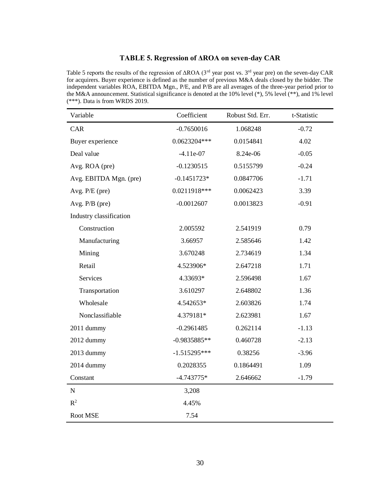#### **TABLE 5. Regression of ΔROA on seven-day CAR**

Table 5 reports the results of the regression of ΔROA (3<sup>rd</sup> year post vs. 3<sup>rd</sup> year pre) on the seven-day CAR for acquirers. Buyer experience is defined as the number of previous M&A deals closed by the bidder. The independent variables ROA, EBITDA Mgn., P/E, and P/B are all averages of the three-year period prior to the M&A announcement. Statistical significance is denoted at the 10% level (\*), 5% level (\*\*), and 1% level (\*\*\*). Data is from WRDS 2019.

| Variable                | Coefficient    | Robust Std. Err. | t-Statistic |
|-------------------------|----------------|------------------|-------------|
| CAR                     | $-0.7650016$   | 1.068248         | $-0.72$     |
| Buyer experience        | 0.0623204***   | 0.0154841        | 4.02        |
| Deal value              | $-4.11e-07$    | 8.24e-06         | $-0.05$     |
| Avg. ROA (pre)          | $-0.1230515$   | 0.5155799        | $-0.24$     |
| Avg. EBITDA Mgn. (pre)  | $-0.1451723*$  | 0.0847706        | $-1.71$     |
| Avg. $P/E$ (pre)        | 0.0211918***   | 0.0062423        | 3.39        |
| Avg. $P/B$ (pre)        | $-0.0012607$   | 0.0013823        | $-0.91$     |
| Industry classification |                |                  |             |
| Construction            | 2.005592       | 2.541919         | 0.79        |
| Manufacturing           | 3.66957        | 2.585646         | 1.42        |
| Mining                  | 3.670248       | 2.734619         | 1.34        |
| Retail                  | 4.523906*      | 2.647218         | 1.71        |
| Services                | 4.33693*       | 2.596498         | 1.67        |
| Transportation          | 3.610297       | 2.648802         | 1.36        |
| Wholesale               | 4.542653*      | 2.603826         | 1.74        |
| Nonclassifiable         | 4.379181*      | 2.623981         | 1.67        |
| 2011 dummy              | $-0.2961485$   | 0.262114         | $-1.13$     |
| 2012 dummy              | $-0.9835885**$ | 0.460728         | $-2.13$     |
| 2013 dummy              | $-1.515295***$ | 0.38256          | $-3.96$     |
| 2014 dummy              | 0.2028355      | 0.1864491        | 1.09        |
| Constant                | $-4.743775*$   | 2.646662         | $-1.79$     |
| ${\bf N}$               | 3,208          |                  |             |
| $\mathbb{R}^2$          | 4.45%          |                  |             |
| Root MSE                | 7.54           |                  |             |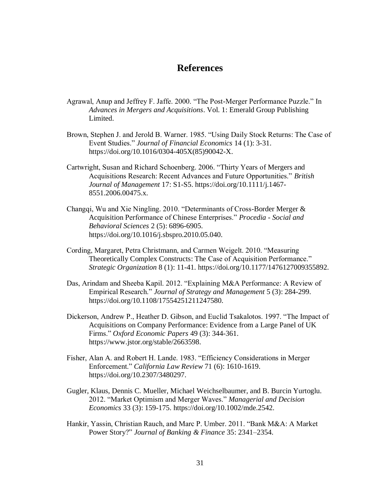#### **References**

- Agrawal, Anup and Jeffrey F. Jaffe. 2000. "The Post-Merger Performance Puzzle." In *Advances in Mergers and Acquisitions*. Vol. 1: Emerald Group Publishing Limited.
- Brown, Stephen J. and Jerold B. Warner. 1985. "Using Daily Stock Returns: The Case of Event Studies." *Journal of Financial Economics* 14 (1): 3-31. https://doi.org/10.1016/0304-405X(85)90042-X.
- Cartwright, Susan and Richard Schoenberg. 2006. "Thirty Years of Mergers and Acquisitions Research: Recent Advances and Future Opportunities." *British Journal of Management* 17: S1-S5. https://doi.org/10.1111/j.1467- 8551.2006.00475.x.
- Changqi, Wu and Xie Ningling. 2010. "Determinants of Cross-Border Merger & Acquisition Performance of Chinese Enterprises." *Procedia - Social and Behavioral Sciences* 2 (5): 6896-6905. https://doi.org/10.1016/j.sbspro.2010.05.040.
- Cording, Margaret, Petra Christmann, and Carmen Weigelt. 2010. "Measuring Theoretically Complex Constructs: The Case of Acquisition Performance." *Strategic Organization* 8 (1): 11-41. https://doi.org/10.1177/1476127009355892.
- Das, Arindam and Sheeba Kapil. 2012. "Explaining M&A Performance: A Review of Empirical Research." *Journal of Strategy and Management* 5 (3): 284-299. https://doi.org/10.1108/17554251211247580.
- Dickerson, Andrew P., Heather D. Gibson, and Euclid Tsakalotos. 1997. "The Impact of Acquisitions on Company Performance: Evidence from a Large Panel of UK Firms." *Oxford Economic Papers* 49 (3): 344-361. https://www.jstor.org/stable/2663598.
- Fisher, Alan A. and Robert H. Lande. 1983. "Efficiency Considerations in Merger Enforcement." *California Law Review* 71 (6): 1610-1619. https://doi.org/10.2307/3480297.
- Gugler, Klaus, Dennis C. Mueller, Michael Weichselbaumer, and B. Burcin Yurtoglu. 2012. "Market Optimism and Merger Waves." *Managerial and Decision Economics* 33 (3): 159-175. https://doi.org/10.1002/mde.2542.
- Hankir, Yassin, Christian Rauch, and Marc P. Umber. 2011. "Bank M&A: A Market Power Story?" *Journal of Banking & Finance* 35: 2341–2354.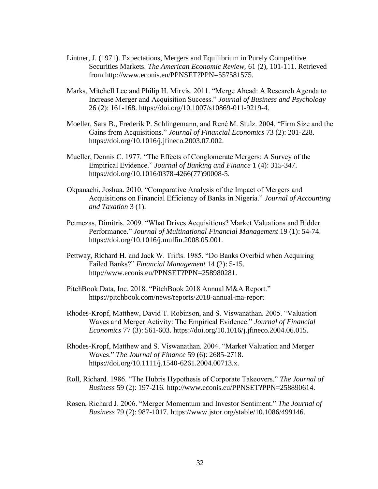- Lintner, J. (1971). Expectations, Mergers and Equilibrium in Purely Competitive Securities Markets. *The American Economic Review,* 61 (2), 101-111. Retrieved from http://www.econis.eu/PPNSET?PPN=557581575.
- Marks, Mitchell Lee and Philip H. Mirvis. 2011. "Merge Ahead: A Research Agenda to Increase Merger and Acquisition Success." *Journal of Business and Psychology* 26 (2): 161-168. https://doi.org/10.1007/s10869-011-9219-4.
- Moeller, Sara B., Frederik P. Schlingemann, and René M. Stulz. 2004. "Firm Size and the Gains from Acquisitions." *Journal of Financial Economics* 73 (2): 201-228. https://doi.org/10.1016/j.jfineco.2003.07.002.
- Mueller, Dennis C. 1977. "The Effects of Conglomerate Mergers: A Survey of the Empirical Evidence." *Journal of Banking and Finance* 1 (4): 315-347. https://doi.org/10.1016/0378-4266(77)90008-5.
- Okpanachi, Joshua. 2010. "Comparative Analysis of the Impact of Mergers and Acquisitions on Financial Efficiency of Banks in Nigeria." *Journal of Accounting and Taxation* 3 (1).
- Petmezas, Dimitris. 2009. "What Drives Acquisitions? Market Valuations and Bidder Performance." *Journal of Multinational Financial Management* 19 (1): 54-74. https://doi.org/10.1016/j.mulfin.2008.05.001.
- Pettway, Richard H. and Jack W. Trifts. 1985. "Do Banks Overbid when Acquiring Failed Banks?" *Financial Management* 14 (2): 5-15. http://www.econis.eu/PPNSET?PPN=258980281.
- PitchBook Data, Inc. 2018. "PitchBook 2018 Annual M&A Report." https://pitchbook.com/news/reports/2018-annual-ma-report
- Rhodes-Kropf, Matthew, David T. Robinson, and S. Viswanathan. 2005. "Valuation Waves and Merger Activity: The Empirical Evidence." *Journal of Financial Economics* 77 (3): 561-603. https://doi.org/10.1016/j.jfineco.2004.06.015.
- Rhodes-Kropf, Matthew and S. Viswanathan. 2004. "Market Valuation and Merger Waves." *The Journal of Finance* 59 (6): 2685-2718. https://doi.org/10.1111/j.1540-6261.2004.00713.x.
- Roll, Richard. 1986. "The Hubris Hypothesis of Corporate Takeovers." *The Journal of Business* 59 (2): 197-216. http://www.econis.eu/PPNSET?PPN=258890614.
- Rosen, Richard J. 2006. "Merger Momentum and Investor Sentiment." *The Journal of Business* 79 (2): 987-1017. https://www.jstor.org/stable/10.1086/499146.